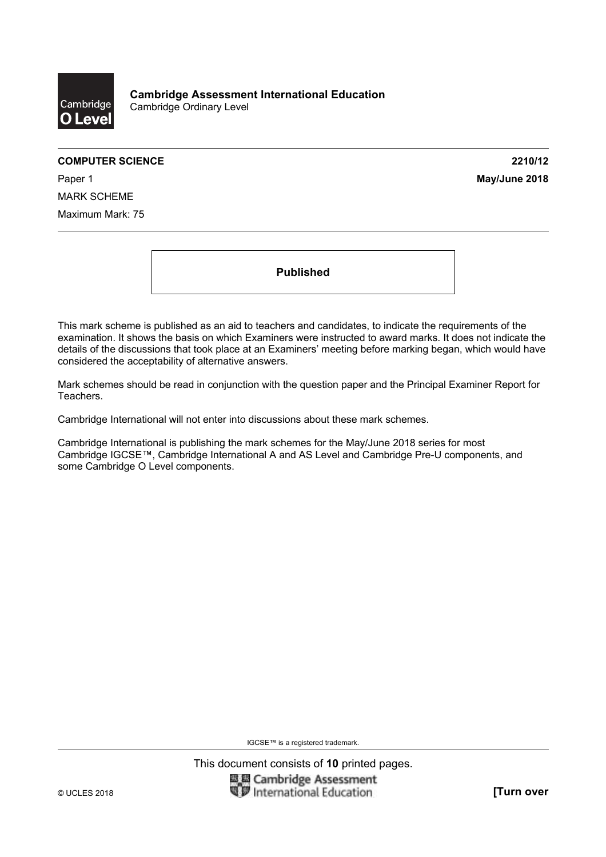

#### **COMPUTER SCIENCE 2210/12**

Paper 1 **May/June 2018** MARK SCHEME Maximum Mark: 75

**Published** 

This mark scheme is published as an aid to teachers and candidates, to indicate the requirements of the examination. It shows the basis on which Examiners were instructed to award marks. It does not indicate the details of the discussions that took place at an Examiners' meeting before marking began, which would have considered the acceptability of alternative answers.

Mark schemes should be read in conjunction with the question paper and the Principal Examiner Report for Teachers.

Cambridge International will not enter into discussions about these mark schemes.

Cambridge International is publishing the mark schemes for the May/June 2018 series for most Cambridge IGCSE™, Cambridge International A and AS Level and Cambridge Pre-U components, and some Cambridge O Level components.

IGCSE™ is a registered trademark.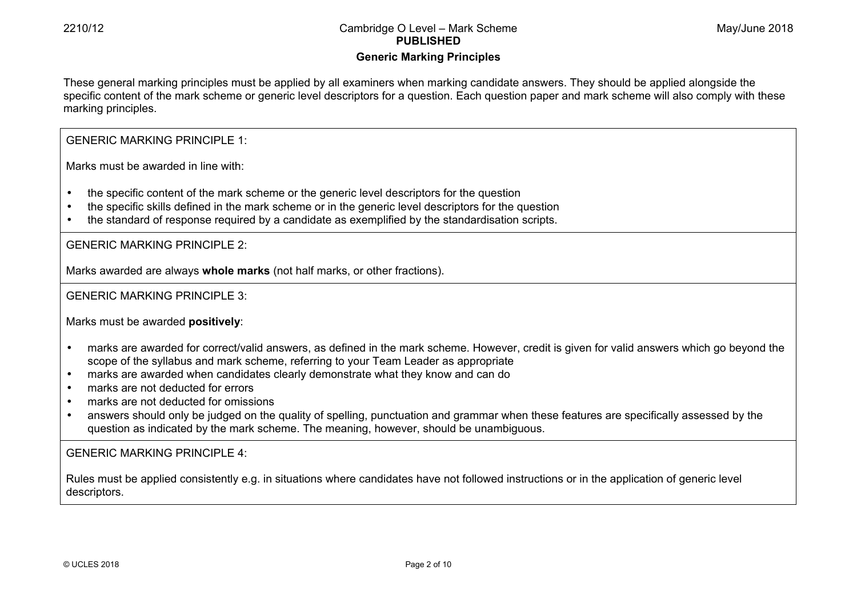# **Generic Marking Principles**

These general marking principles must be applied by all examiners when marking candidate answers. They should be applied alongside the specific content of the mark scheme or generic level descriptors for a question. Each question paper and mark scheme will also comply with these marking principles.

GENERIC MARKING PRINCIPLE 1:

Marks must be awarded in line with:

- the specific content of the mark scheme or the generic level descriptors for the question
- the specific skills defined in the mark scheme or in the generic level descriptors for the question
- the standard of response required by a candidate as exemplified by the standardisation scripts.

GENERIC MARKING PRINCIPLE 2:

Marks awarded are always **whole marks** (not half marks, or other fractions).

GENERIC MARKING PRINCIPLE 3:

Marks must be awarded **positively**:

- marks are awarded for correct/valid answers, as defined in the mark scheme. However, credit is given for valid answers which go beyond the scope of the syllabus and mark scheme, referring to your Team Leader as appropriate
- marks are awarded when candidates clearly demonstrate what they know and can do
- marks are not deducted for errors
- marks are not deducted for omissions
- answers should only be judged on the quality of spelling, punctuation and grammar when these features are specifically assessed by the question as indicated by the mark scheme. The meaning, however, should be unambiguous.

GENERIC MARKING PRINCIPLE 4:

Rules must be applied consistently e.g. in situations where candidates have not followed instructions or in the application of generic level descriptors.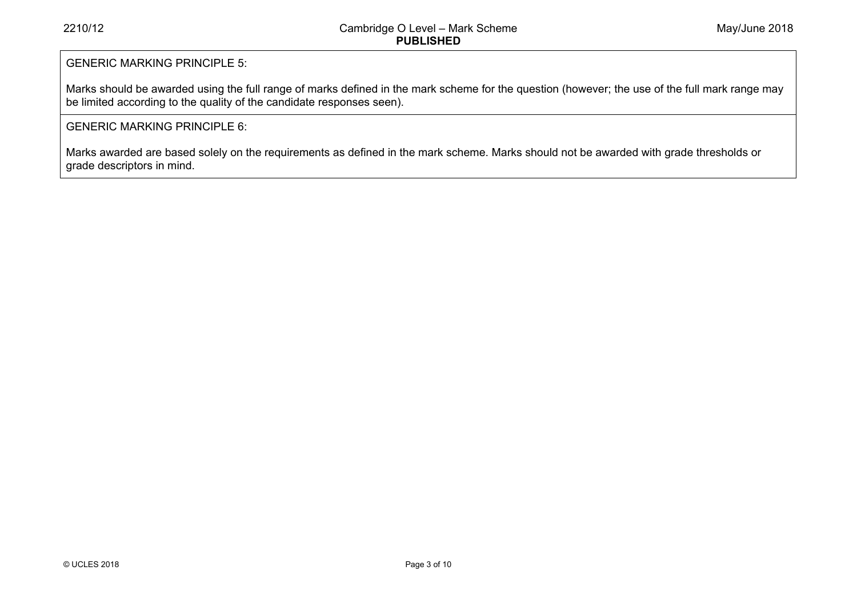# GENERIC MARKING PRINCIPLE 5:

Marks should be awarded using the full range of marks defined in the mark scheme for the question (however; the use of the full mark range may be limited according to the quality of the candidate responses seen).

# GENERIC MARKING PRINCIPLE 6:

Marks awarded are based solely on the requirements as defined in the mark scheme. Marks should not be awarded with grade thresholds or grade descriptors in mind.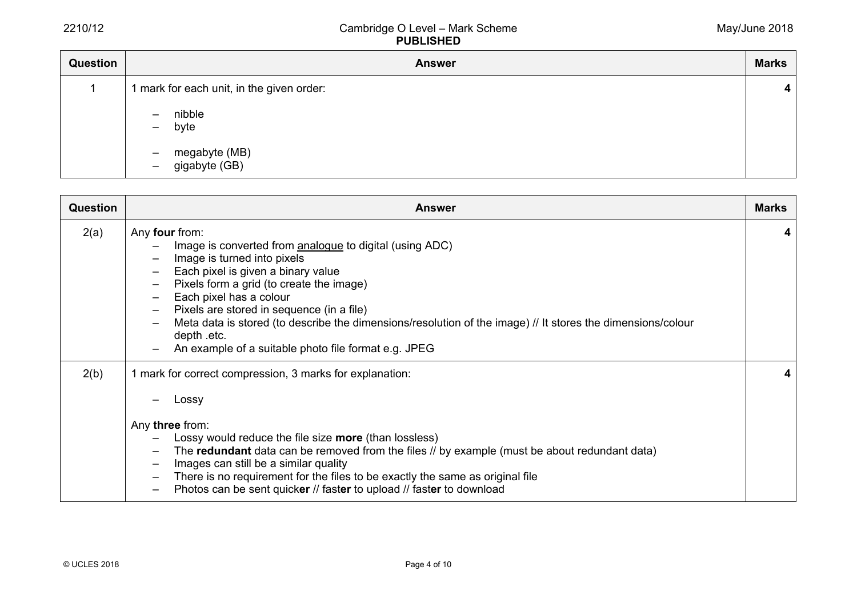| Question | <b>Answer</b>                                                                          | <b>Marks</b>            |
|----------|----------------------------------------------------------------------------------------|-------------------------|
|          | 1 mark for each unit, in the given order:                                              | $\overline{\mathbf{4}}$ |
|          | nibble<br>$\overline{\phantom{0}}$<br>byte<br>$-$                                      |                         |
|          | megabyte (MB)<br>gigabyte (GB)<br>$\overline{\phantom{m}}$<br>$\overline{\phantom{m}}$ |                         |

| <b>Question</b> | <b>Answer</b>                                                                                                                                                                                                                                                                                                                                                                                                                                                                                                                                                                                                             | <b>Marks</b> |
|-----------------|---------------------------------------------------------------------------------------------------------------------------------------------------------------------------------------------------------------------------------------------------------------------------------------------------------------------------------------------------------------------------------------------------------------------------------------------------------------------------------------------------------------------------------------------------------------------------------------------------------------------------|--------------|
| 2(a)            | Any four from:<br>Image is converted from analogue to digital (using ADC)<br>Image is turned into pixels<br>$\overline{\phantom{0}}$<br>Each pixel is given a binary value<br>$\qquad \qquad -$<br>Pixels form a grid (to create the image)<br>$\overline{\phantom{m}}$<br>Each pixel has a colour<br>$\overline{\phantom{m}}$<br>Pixels are stored in sequence (in a file)<br>$\overline{\phantom{m}}$<br>Meta data is stored (to describe the dimensions/resolution of the image) // It stores the dimensions/colour<br>$\overline{\phantom{0}}$<br>depth .etc.<br>An example of a suitable photo file format e.g. JPEG | 4            |
| 2(b)            | 1 mark for correct compression, 3 marks for explanation:<br>Lossy<br>Any three from:<br>Lossy would reduce the file size more (than lossless)<br>The redundant data can be removed from the files // by example (must be about redundant data)<br>$\overline{\phantom{m}}$<br>Images can still be a similar quality<br>$\qquad \qquad -$<br>There is no requirement for the files to be exactly the same as original file<br>$\overline{\phantom{m}}$<br>Photos can be sent quicker // faster to upload // faster to download                                                                                             | 4            |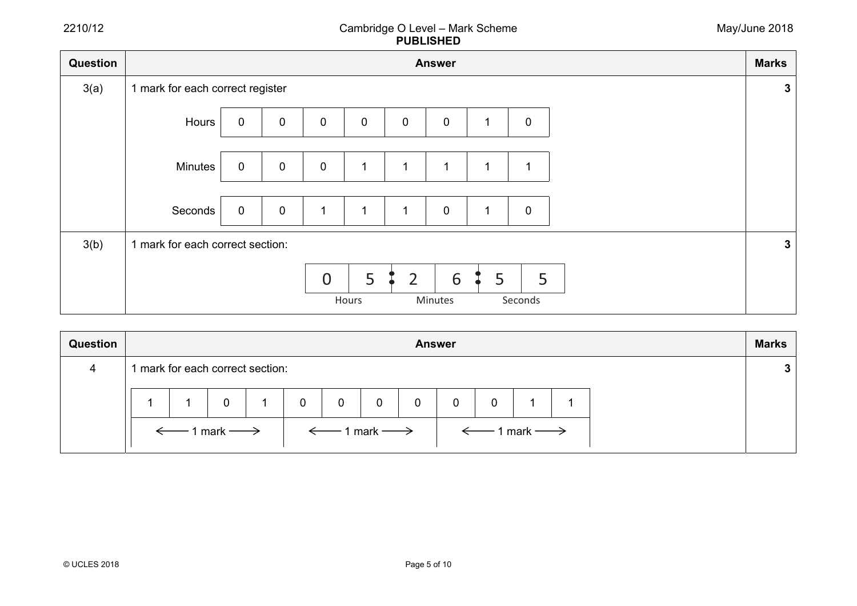| Question | <b>Answer</b>                    |             |                |                |             |              |              |   | <b>Marks</b> |  |              |
|----------|----------------------------------|-------------|----------------|----------------|-------------|--------------|--------------|---|--------------|--|--------------|
| 3(a)     | 1 mark for each correct register |             |                |                |             |              |              |   |              |  | $\mathbf{3}$ |
|          | Hours                            | $\mathbf 0$ | $\pmb{0}$      | $\mathbf 0$    | $\mathbf 0$ | 0            | $\mathbf 0$  |   | $\mathbf 0$  |  |              |
|          | Minutes                          | $\pmb{0}$   | $\mathbf 0$    | $\pmb{0}$      |             | $\mathbf{1}$ | $\mathbf{1}$ |   | 1            |  |              |
|          | Seconds                          | $\mathbf 0$ | $\overline{0}$ | $\mathbf{1}$   |             | $\mathbf{1}$ | $\mathbf 0$  |   | $\mathbf 0$  |  |              |
| 3(b)     | 1 mark for each correct section: |             |                |                |             |              |              |   |              |  | $\mathbf{3}$ |
|          |                                  |             |                | $\overline{0}$ | 5<br>Hours  | 2            | 6<br>Minutes | 5 | 5<br>Seconds |  |              |

| <b>Question</b> | <b>Answer</b>                         |                                |  |  |                                                       |             |   |   |             | <b>Marks</b> |                                       |  |  |
|-----------------|---------------------------------------|--------------------------------|--|--|-------------------------------------------------------|-------------|---|---|-------------|--------------|---------------------------------------|--|--|
| 4               |                                       | mark for each correct section: |  |  |                                                       |             |   |   |             |              |                                       |  |  |
|                 |                                       |                                |  |  | $\overline{0}$                                        | $\mathbf 0$ | 0 | 0 | $\mathbf 0$ | 0            |                                       |  |  |
|                 | $\leftarrow$ 1 mark $\longrightarrow$ |                                |  |  | $\vert \quad\leftarrow\quad$ 1 mark $\longrightarrow$ |             |   |   |             |              | $\leftarrow$ 1 mark $\longrightarrow$ |  |  |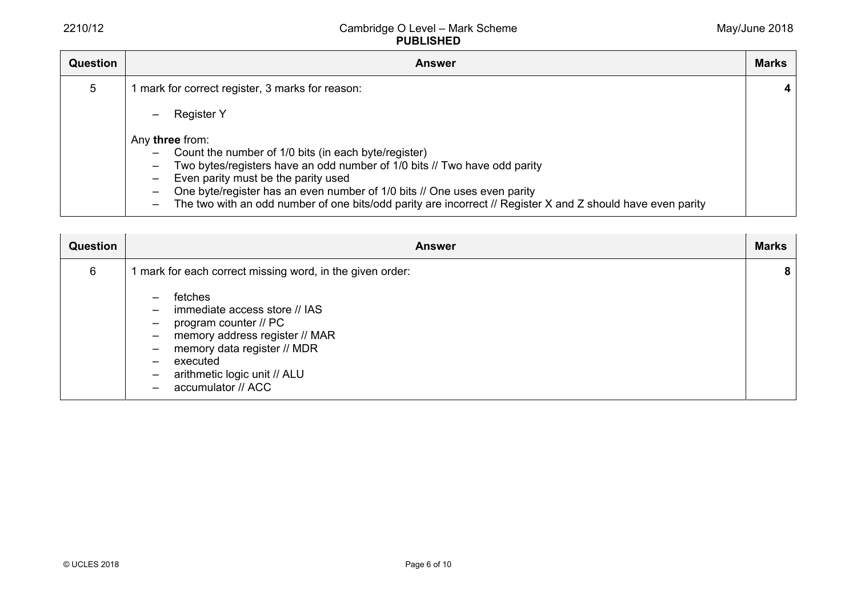| Question | <b>Answer</b>                                                                                                                                                                                                                                                                                                                                                                                                                                                                                   | <b>Marks</b> |
|----------|-------------------------------------------------------------------------------------------------------------------------------------------------------------------------------------------------------------------------------------------------------------------------------------------------------------------------------------------------------------------------------------------------------------------------------------------------------------------------------------------------|--------------|
| 5        | 1 mark for correct register, 3 marks for reason:                                                                                                                                                                                                                                                                                                                                                                                                                                                |              |
|          | <b>Register Y</b><br>-                                                                                                                                                                                                                                                                                                                                                                                                                                                                          |              |
|          | Any three from:<br>Count the number of 1/0 bits (in each byte/register)<br>$\qquad \qquad -$<br>Two bytes/registers have an odd number of 1/0 bits // Two have odd parity<br>$\overline{\phantom{m}}$<br>Even parity must be the parity used<br>One byte/register has an even number of 1/0 bits // One uses even parity<br>$\overline{\phantom{m}}$<br>The two with an odd number of one bits/odd parity are incorrect // Register X and Z should have even parity<br>$\overline{\phantom{0}}$ |              |

| <b>Question</b> | <b>Answer</b>                                                                                                                                                                                                                                                                                                                                                                                   | <b>Marks</b> |
|-----------------|-------------------------------------------------------------------------------------------------------------------------------------------------------------------------------------------------------------------------------------------------------------------------------------------------------------------------------------------------------------------------------------------------|--------------|
| 6               | 1 mark for each correct missing word, in the given order:                                                                                                                                                                                                                                                                                                                                       | -8           |
|                 | fetches<br>$\overline{\phantom{0}}$<br>immediate access store // IAS<br>$\qquad \qquad -$<br>program counter // PC<br>$\overline{\phantom{m}}$<br>memory address register // MAR<br>$\qquad \qquad -$<br>memory data register // MDR<br>$\qquad \qquad -$<br>executed<br>$\qquad \qquad$<br>arithmetic logic unit // ALU<br>$\qquad \qquad -$<br>accumulator // ACC<br>$\overline{\phantom{0}}$ |              |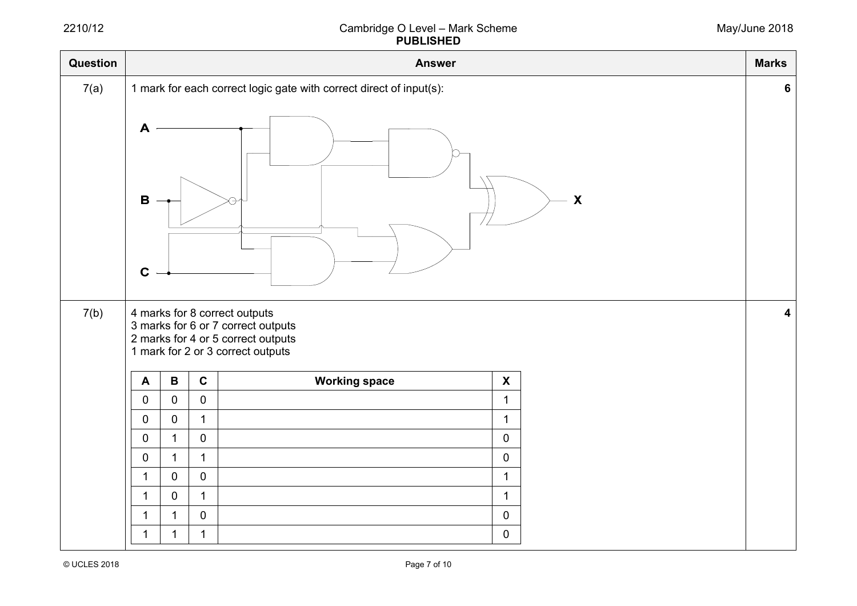| Question |                                                                     |                |                     | <b>Answer</b>                                                                                                                                  |                           |  | <b>Marks</b> |  |  |
|----------|---------------------------------------------------------------------|----------------|---------------------|------------------------------------------------------------------------------------------------------------------------------------------------|---------------------------|--|--------------|--|--|
| 7(a)     | 1 mark for each correct logic gate with correct direct of input(s): |                |                     |                                                                                                                                                |                           |  |              |  |  |
|          | A<br>$\boldsymbol{\mathsf{X}}$<br>$\mathbf B$<br>$\mathbf C$        |                |                     |                                                                                                                                                |                           |  |              |  |  |
| 7(b)     |                                                                     |                |                     | 4 marks for 8 correct outputs<br>3 marks for 6 or 7 correct outputs<br>2 marks for 4 or 5 correct outputs<br>1 mark for 2 or 3 correct outputs |                           |  | 4            |  |  |
|          | $\blacktriangle$                                                    | $\, {\bf B}$   | $\mathbf C$         | <b>Working space</b>                                                                                                                           | $\boldsymbol{\mathsf{X}}$ |  |              |  |  |
|          | $\mathbf 0$                                                         | $\mathsf 0$    | $\mathbf 0$         |                                                                                                                                                | $\mathbf{1}$              |  |              |  |  |
|          | $\mathbf 0$                                                         | $\mathbf 0$    | $\mathbf{1}$        |                                                                                                                                                | $\mathbf{1}$              |  |              |  |  |
|          | $\mathbf 0$                                                         | $\overline{1}$ | $\mathsf 0$         |                                                                                                                                                | $\mathbf 0$               |  |              |  |  |
|          | $\mathbf 0$                                                         | $\mathbf{1}$   | $\mathbf{1}$        |                                                                                                                                                | $\mathbf 0$               |  |              |  |  |
|          | $\mathbf{1}$                                                        | $\mathsf 0$    | $\mathsf{O}\xspace$ |                                                                                                                                                | $\mathbf 1$               |  |              |  |  |
|          | $\mathbf{1}$                                                        | $\mathbf 0$    | $\mathbf{1}$        |                                                                                                                                                | $\mathbf 1$               |  |              |  |  |
|          | $\mathbf{1}$                                                        | $\mathbf{1}$   | $\pmb{0}$           |                                                                                                                                                | $\boldsymbol{0}$          |  |              |  |  |
|          | 1                                                                   | 1              | $\mathbf{1}$        |                                                                                                                                                | 0                         |  |              |  |  |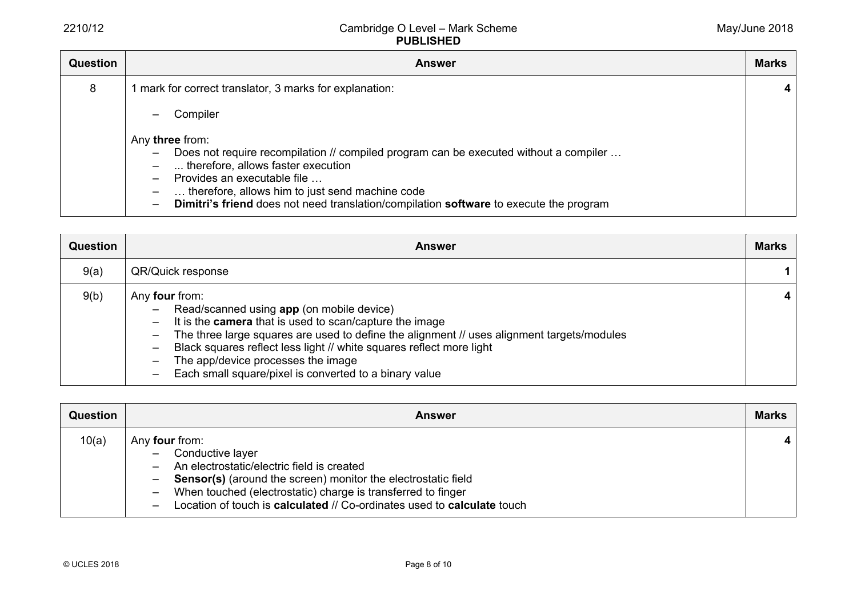| <b>Question</b> | <b>Answer</b>                                                                                                                                                                                                                                                                                                                                                                                    | <b>Marks</b> |
|-----------------|--------------------------------------------------------------------------------------------------------------------------------------------------------------------------------------------------------------------------------------------------------------------------------------------------------------------------------------------------------------------------------------------------|--------------|
| 8               | mark for correct translator, 3 marks for explanation:                                                                                                                                                                                                                                                                                                                                            |              |
|                 | Compiler<br>$\overline{\phantom{0}}$                                                                                                                                                                                                                                                                                                                                                             |              |
|                 | Any three from:<br>Does not require recompilation // compiled program can be executed without a compiler<br>$\overline{\phantom{m}}$<br>therefore, allows faster execution<br>Provides an executable file<br>$\qquad \qquad -$<br>therefore, allows him to just send machine code<br>Dimitri's friend does not need translation/compilation software to execute the program<br>$\qquad \qquad -$ |              |

| <b>Question</b> | <b>Answer</b>                                                                                                                                                                                                                                                                                                                                                                                                                                                                                                          | <b>Marks</b> |
|-----------------|------------------------------------------------------------------------------------------------------------------------------------------------------------------------------------------------------------------------------------------------------------------------------------------------------------------------------------------------------------------------------------------------------------------------------------------------------------------------------------------------------------------------|--------------|
| 9(a)            | QR/Quick response                                                                                                                                                                                                                                                                                                                                                                                                                                                                                                      |              |
| 9(b)            | Any four from:<br>Read/scanned using app (on mobile device)<br>$\overline{\phantom{0}}$<br>It is the <b>camera</b> that is used to scan/capture the image<br>$\qquad \qquad -$<br>The three large squares are used to define the alignment // uses alignment targets/modules<br>-<br>Black squares reflect less light // white squares reflect more light<br>-<br>The app/device processes the image<br>$\overline{\phantom{0}}$<br>Each small square/pixel is converted to a binary value<br>$\overline{\phantom{0}}$ |              |

| Question | <b>Answer</b>                                                                                                                                                                                                                                                                                                                                                                                                | <b>Marks</b>   |
|----------|--------------------------------------------------------------------------------------------------------------------------------------------------------------------------------------------------------------------------------------------------------------------------------------------------------------------------------------------------------------------------------------------------------------|----------------|
| 10(a)    | Any <b>four</b> from:<br>Conductive layer<br>$-$<br>An electrostatic/electric field is created<br>$\qquad \qquad -$<br><b>Sensor(s)</b> (around the screen) monitor the electrostatic field<br>$\qquad \qquad -$<br>When touched (electrostatic) charge is transferred to finger<br>$\qquad \qquad -$<br>Location of touch is calculated // Co-ordinates used to calculate touch<br>$\overline{\phantom{0}}$ | $\overline{4}$ |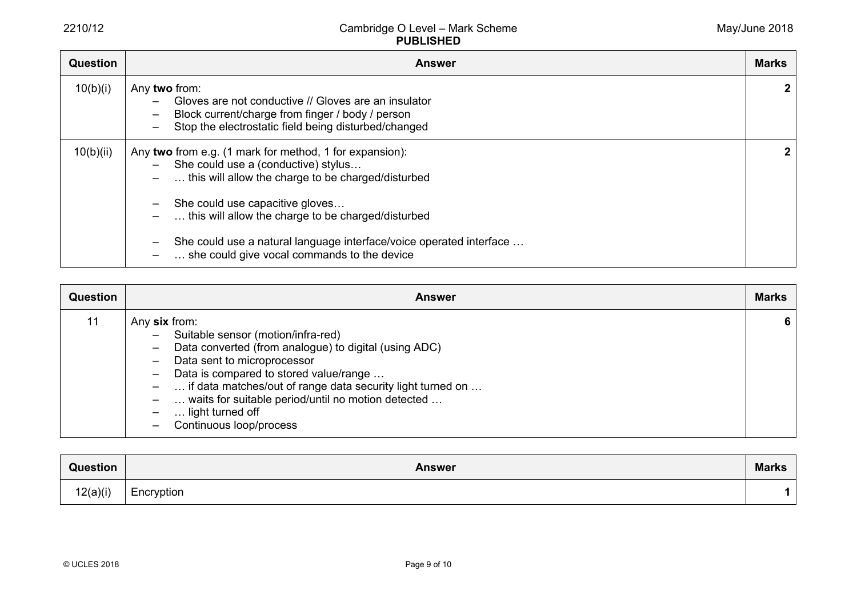| <b>Question</b> | Answer                                                                                                                                                                                                                                                                             | <b>Marks</b> |
|-----------------|------------------------------------------------------------------------------------------------------------------------------------------------------------------------------------------------------------------------------------------------------------------------------------|--------------|
| 10(b)(i)        | Any two from:<br>Gloves are not conductive // Gloves are an insulator<br>—<br>Block current/charge from finger / body / person<br>$\overline{\phantom{m}}$<br>Stop the electrostatic field being disturbed/changed<br>$\overline{\phantom{0}}$                                     | $\mathbf{2}$ |
| 10(b)(ii)       | Any two from e.g. (1 mark for method, 1 for expansion):<br>$-$ She could use a (conductive) stylus<br>this will allow the charge to be charged/disturbed<br>$\overline{\phantom{0}}$<br>She could use capacitive gloves<br>this will allow the charge to be charged/disturbed<br>- | $\mathbf{2}$ |
|                 | She could use a natural language interface/voice operated interface<br>$\overline{\phantom{m}}$<br>she could give vocal commands to the device                                                                                                                                     |              |

| <b>Question</b> | <b>Answer</b>                                                                                                                                                                                                                                                                                                                                                                                                                                                                   | <b>Marks</b> |
|-----------------|---------------------------------------------------------------------------------------------------------------------------------------------------------------------------------------------------------------------------------------------------------------------------------------------------------------------------------------------------------------------------------------------------------------------------------------------------------------------------------|--------------|
| 11              | Any six from:<br>Suitable sensor (motion/infra-red)<br>$-$<br>Data converted (from analogue) to digital (using ADC)<br>$\qquad \qquad -$<br>Data sent to microprocessor<br>$\qquad \qquad -$<br>Data is compared to stored value/range<br>$\qquad \qquad -$<br>if data matches/out of range data security light turned on<br>$\overline{\phantom{m}}$<br>waits for suitable period/until no motion detected<br>$\qquad \qquad -$<br>light turned off<br>Continuous loop/process | 6            |

| Question | <b>Answer</b> | <b>Marks</b> |
|----------|---------------|--------------|
| 12(a)(i) | Encryption    |              |